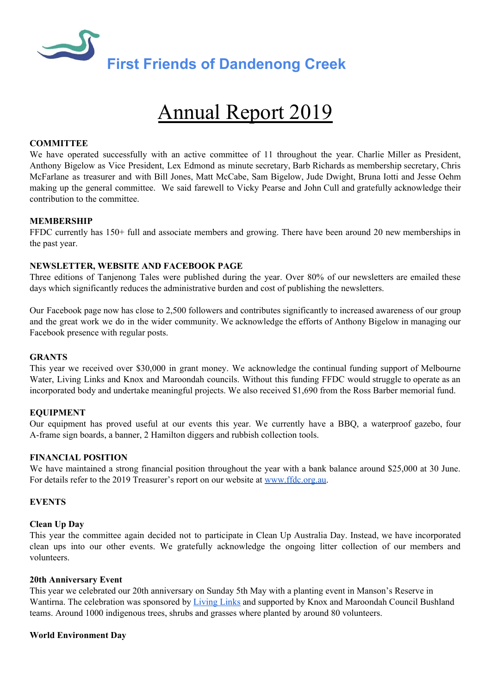

# Annual Report 2019

## **COMMITTEE**

We have operated successfully with an active committee of 11 throughout the year. Charlie Miller as President, Anthony Bigelow as Vice President, Lex Edmond as minute secretary, Barb Richards as membership secretary, Chris McFarlane as treasurer and with Bill Jones, Matt McCabe, Sam Bigelow, Jude Dwight, Bruna Iotti and Jesse Oehm making up the general committee. We said farewell to Vicky Pearse and John Cull and gratefully acknowledge their contribution to the committee.

## **MEMBERSHIP**

FFDC currently has 150+ full and associate members and growing. There have been around 20 new memberships in the past year.

## **NEWSLETTER, WEBSITE AND FACEBOOK PAGE**

Three editions of Tanjenong Tales were published during the year. Over 80% of our newsletters are emailed these days which significantly reduces the administrative burden and cost of publishing the newsletters.

Our Facebook page now has close to 2,500 followers and contributes significantly to increased awareness of our group and the great work we do in the wider community. We acknowledge the efforts of Anthony Bigelow in managing our Facebook presence with regular posts.

#### **GRANTS**

This year we received over \$30,000 in grant money. We acknowledge the continual funding support of Melbourne Water, Living Links and Knox and Maroondah councils. Without this funding FFDC would struggle to operate as an incorporated body and undertake meaningful projects. We also received \$1,690 from the Ross Barber memorial fund.

## **EQUIPMENT**

Our equipment has proved useful at our events this year. We currently have a BBQ, a waterproof gazebo, four A-frame sign boards, a banner, 2 Hamilton diggers and rubbish collection tools.

#### **FINANCIAL POSITION**

We have maintained a strong financial position throughout the year with a bank balance around \$25,000 at 30 June. For details refer to the 2019 Treasurer's report on our website at [www.ffdc.org.au](http://www.ffdc.org.au/).

#### **EVENTS**

#### **Clean Up Day**

This year the committee again decided not to participate in Clean Up Australia Day. Instead, we have incorporated clean ups into our other events. We gratefully acknowledge the ongoing litter collection of our members and volunteers.

#### **20th Anniversary Event**

This year we celebrated our 20th anniversary on Sunday 5th May with a planting event in Manson's Reserve in Wantirna. The celebration was sponsored b[y](https://livinglinks.com.au/) [Living](https://livinglinks.com.au/) Links and supported by Knox and Maroondah Council Bushland teams. Around 1000 indigenous trees, shrubs and grasses where planted by around 80 volunteers.

## **World Environment Day**